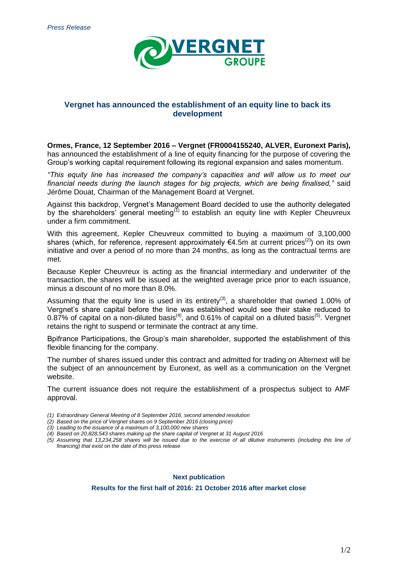

# **Vergnet has announced the establishment of an equity line to back its development**

**Ormes, France, 12 September 2016 – Vergnet (FR0004155240, ALVER, Euronext Paris),**  has announced the establishment of a line of equity financing for the purpose of covering the Group's working capital requirement following its regional expansion and sales momentum.

*"This equity line has increased the company's capacities and will allow us to meet our financial needs during the launch stages for big projects, which are being finalised,"* said Jérôme Douat, Chairman of the Management Board at Vergnet.

Against this backdrop, Vergnet's Management Board decided to use the authority delegated by the shareholders' general meeting<sup>(1)</sup> to establish an equity line with Kepler Cheuvreux under a firm commitment.

With this agreement, Kepler Cheuvreux committed to buying a maximum of 3,100,000 shares (which, for reference, represent approximately  $64.5$ m at current prices<sup>(2)</sup>) on its own initiative and over a period of no more than 24 months, as long as the contractual terms are met.

Because Kepler Cheuvreux is acting as the financial intermediary and underwriter of the transaction, the shares will be issued at the weighted average price prior to each issuance, minus a discount of no more than 8.0%.

Assuming that the equity line is used in its entirety<sup>(3)</sup>, a shareholder that owned 1.00% of Vergnet's share capital before the line was established would see their stake reduced to  $0.87\%$  of capital on a non-diluted basis<sup>(4)</sup>, and 0.61% of capital on a diluted basis<sup>(5)</sup>. Vergnet retains the right to suspend or terminate the contract at any time.

Bpifrance Participations, the Group's main shareholder, supported the establishment of this flexible financing for the company.

The number of shares issued under this contract and admitted for trading on Alternext will be the subject of an announcement by Euronext, as well as a communication on the Vergnet website.

The current issuance does not require the establishment of a prospectus subject to AMF approval.

- *(1) Extraordinary General Meeting of 8 September 2016, second amended resolution*
- *(2) Based on the price of Vergnet shares on 9 September 2016 (closing price)*
- *(3) Leading to the issuance of a maximum of 3,100,000 new shares*
- *(4) Based on 20,828,543 shares making up the share capital of Vergnet at 31 August 2016*
- *(5) Assuming that 13,234,258 shares will be issued due to the exercise of all dilutive instruments (including this line of financing) that exist on the date of this press release*

**Next publication**

**Results for the first half of 2016: 21 October 2016 after market close**